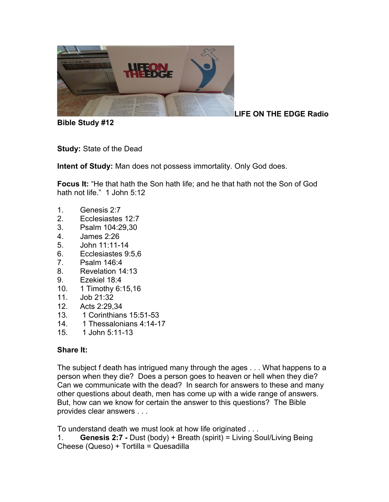

**Bible Study #12**

**LIFE ON THE EDGE Radio** 

**Study:** State of the Dead

**Intent of Study:** Man does not possess immortality. Only God does.

**Focus It:** "He that hath the Son hath life; and he that hath not the Son of God hath not life." 1 John 5:12

- 1. Genesis 2:7
- 2. Ecclesiastes 12:7
- 3. Psalm 104:29,30
- 4. James 2:26
- 5. John 11:11-14
- 6. Ecclesiastes 9:5,6
- 7. Psalm 146:4
- 8. Revelation 14:13
- 9. Ezekiel 18:4
- 10. 1 Timothy 6:15,16
- 11. Job 21:32
- 12. Acts 2:29,34
- 13. 1 Corinthians 15:51-53
- 14. 1 Thessalonians 4:14-17
- 15. 1 John 5:11-13

#### **Share It:**

The subject f death has intrigued many through the ages . . . What happens to a person when they die? Does a person goes to heaven or hell when they die? Can we communicate with the dead? In search for answers to these and many other questions about death, men has come up with a wide range of answers. But, how can we know for certain the answer to this questions? The Bible provides clear answers . . .

To understand death we must look at how life originated . . .

1. **Genesis 2:7 -** Dust (body) + Breath (spirit) = Living Soul/Living Being Cheese (Queso) + Tortilla = Quesadilla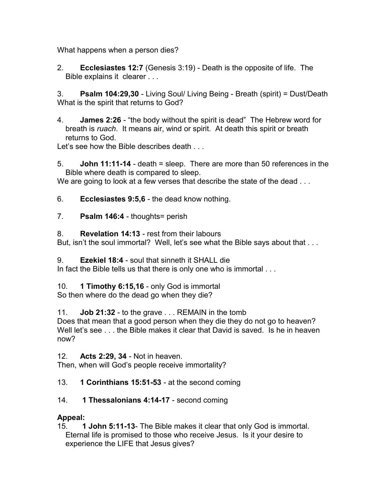What happens when a person dies?

2. **Ecclesiastes 12:7** (Genesis 3:19) - Death is the opposite of life. The Bible explains it clearer . . .

3. **Psalm 104:29,30** - Living Soul/ Living Being - Breath (spirit) = Dust/Death What is the spirit that returns to God?

4. **James 2:26** - "the body without the spirit is dead" The Hebrew word for breath is *ruach*. It means air, wind or spirit. At death this spirit or breath returns to God.

Let's see how the Bible describes death . . .

5. **John 11:11-14** - death = sleep. There are more than 50 references in the Bible where death is compared to sleep.

We are going to look at a few verses that describe the state of the dead . . .

6. **Ecclesiastes 9:5,6** - the dead know nothing.

7. **Psalm 146:4** - thoughts= perish

8. **Revelation 14:13** - rest from their labours

But, isn't the soul immortal? Well, let's see what the Bible says about that . . .

9. **Ezekiel 18:4** - soul that sinneth it SHALL die

In fact the Bible tells us that there is only one who is immortal . . .

10. **1 Timothy 6:15,16** - only God is immortal

So then where do the dead go when they die?

11. **Job 21:32** - to the grave . . . REMAIN in the tomb

Does that mean that a good person when they die they do not go to heaven? Well let's see . . . the Bible makes it clear that David is saved. Is he in heaven now?

12. **Acts 2:29, 34** - Not in heaven.

Then, when will God's people receive immortality?

13. **1 Corinthians 15:51-53** - at the second coming

# 14. **1 Thessalonians 4:14-17** - second coming

# **Appeal:**

15. **1 John 5:11-13**- The Bible makes it clear that only God is immortal. Eternal life is promised to those who receive Jesus. Is it your desire to experience the LIFE that Jesus gives?